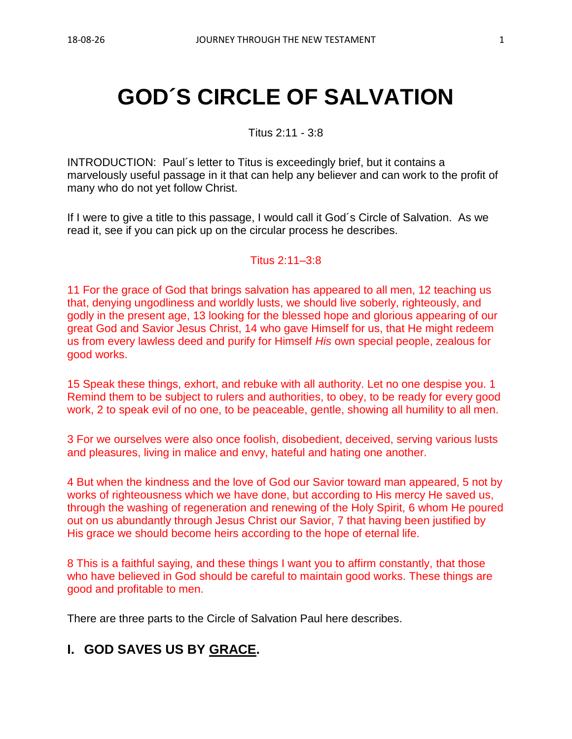# **GOD´S CIRCLE OF SALVATION**

Titus 2:11 - 3:8

INTRODUCTION: Paul´s letter to Titus is exceedingly brief, but it contains a marvelously useful passage in it that can help any believer and can work to the profit of many who do not yet follow Christ.

If I were to give a title to this passage, I would call it God´s Circle of Salvation. As we read it, see if you can pick up on the circular process he describes.

Titus 2:11–3:8

11 For the grace of God that brings salvation has appeared to all men, 12 teaching us that, denying ungodliness and worldly lusts, we should live soberly, righteously, and godly in the present age, 13 looking for the blessed hope and glorious appearing of our great God and Savior Jesus Christ, 14 who gave Himself for us, that He might redeem us from every lawless deed and purify for Himself *His* own special people, zealous for good works.

15 Speak these things, exhort, and rebuke with all authority. Let no one despise you. 1 Remind them to be subject to rulers and authorities, to obey, to be ready for every good work, 2 to speak evil of no one, to be peaceable, gentle, showing all humility to all men.

3 For we ourselves were also once foolish, disobedient, deceived, serving various lusts and pleasures, living in malice and envy, hateful and hating one another.

4 But when the kindness and the love of God our Savior toward man appeared, 5 not by works of righteousness which we have done, but according to His mercy He saved us, through the washing of regeneration and renewing of the Holy Spirit, 6 whom He poured out on us abundantly through Jesus Christ our Savior, 7 that having been justified by His grace we should become heirs according to the hope of eternal life.

8 This is a faithful saying, and these things I want you to affirm constantly, that those who have believed in God should be careful to maintain good works. These things are good and profitable to men.

There are three parts to the Circle of Salvation Paul here describes.

# **I. GOD SAVES US BY GRACE.**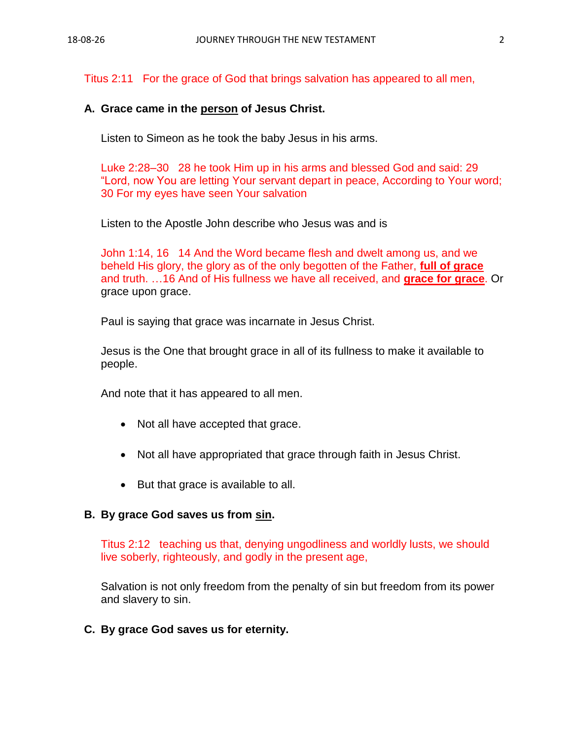Titus 2:11 For the grace of God that brings salvation has appeared to all men,

#### **A. Grace came in the person of Jesus Christ.**

Listen to Simeon as he took the baby Jesus in his arms.

Luke 2:28–30 28 he took Him up in his arms and blessed God and said: 29 "Lord, now You are letting Your servant depart in peace, According to Your word; 30 For my eyes have seen Your salvation

Listen to the Apostle John describe who Jesus was and is

John 1:14, 16 14 And the Word became flesh and dwelt among us, and we beheld His glory, the glory as of the only begotten of the Father, **full of grace** and truth. …16 And of His fullness we have all received, and **grace for grace**. Or grace upon grace.

Paul is saying that grace was incarnate in Jesus Christ.

Jesus is the One that brought grace in all of its fullness to make it available to people.

And note that it has appeared to all men.

- Not all have accepted that grace.
- Not all have appropriated that grace through faith in Jesus Christ.
- But that grace is available to all.

#### **B. By grace God saves us from sin.**

Titus 2:12 teaching us that, denying ungodliness and worldly lusts, we should live soberly, righteously, and godly in the present age,

Salvation is not only freedom from the penalty of sin but freedom from its power and slavery to sin.

**C. By grace God saves us for eternity.**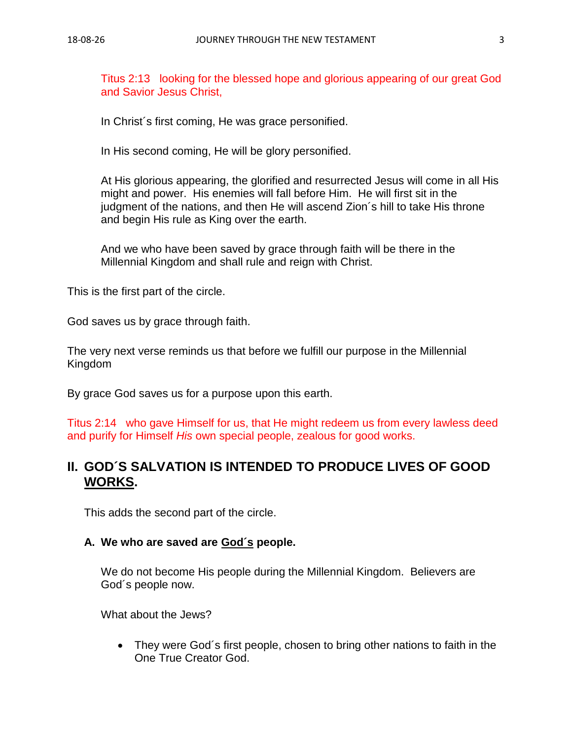Titus 2:13 looking for the blessed hope and glorious appearing of our great God and Savior Jesus Christ,

In Christ´s first coming, He was grace personified.

In His second coming, He will be glory personified.

At His glorious appearing, the glorified and resurrected Jesus will come in all His might and power. His enemies will fall before Him. He will first sit in the judgment of the nations, and then He will ascend Zion´s hill to take His throne and begin His rule as King over the earth.

And we who have been saved by grace through faith will be there in the Millennial Kingdom and shall rule and reign with Christ.

This is the first part of the circle.

God saves us by grace through faith.

The very next verse reminds us that before we fulfill our purpose in the Millennial Kingdom

By grace God saves us for a purpose upon this earth.

Titus 2:14 who gave Himself for us, that He might redeem us from every lawless deed and purify for Himself *His* own special people, zealous for good works.

# **II. GOD´S SALVATION IS INTENDED TO PRODUCE LIVES OF GOOD WORKS.**

This adds the second part of the circle.

#### **A. We who are saved are God´s people.**

We do not become His people during the Millennial Kingdom. Believers are God´s people now.

What about the Jews?

• They were God's first people, chosen to bring other nations to faith in the One True Creator God.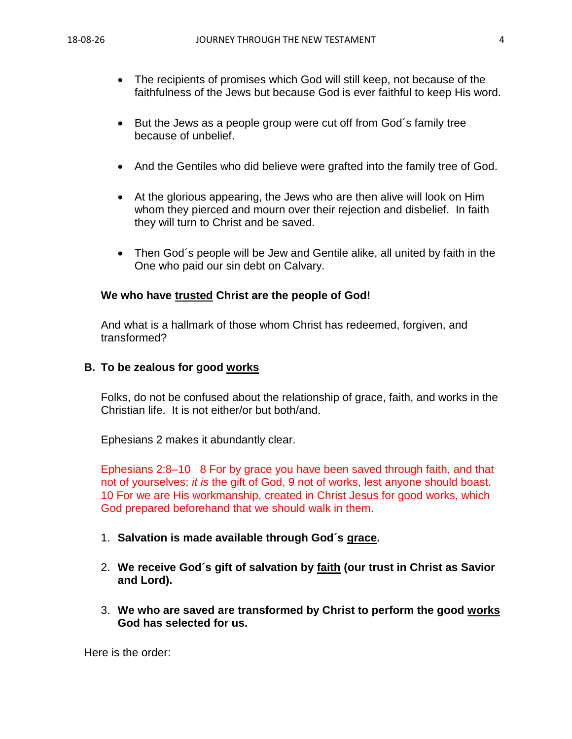- The recipients of promises which God will still keep, not because of the faithfulness of the Jews but because God is ever faithful to keep His word.
- But the Jews as a people group were cut off from God's family tree because of unbelief.
- And the Gentiles who did believe were grafted into the family tree of God.
- At the glorious appearing, the Jews who are then alive will look on Him whom they pierced and mourn over their rejection and disbelief. In faith they will turn to Christ and be saved.
- Then God´s people will be Jew and Gentile alike, all united by faith in the One who paid our sin debt on Calvary.

## **We who have trusted Christ are the people of God!**

And what is a hallmark of those whom Christ has redeemed, forgiven, and transformed?

## **B. To be zealous for good works**

Folks, do not be confused about the relationship of grace, faith, and works in the Christian life. It is not either/or but both/and.

Ephesians 2 makes it abundantly clear.

Ephesians 2:8–10 8 For by grace you have been saved through faith, and that not of yourselves; *it is* the gift of God, 9 not of works, lest anyone should boast. 10 For we are His workmanship, created in Christ Jesus for good works, which God prepared beforehand that we should walk in them.

- 1. **Salvation is made available through God´s grace.**
- 2. **We receive God´s gift of salvation by faith (our trust in Christ as Savior and Lord).**
- 3. **We who are saved are transformed by Christ to perform the good works God has selected for us.**

Here is the order: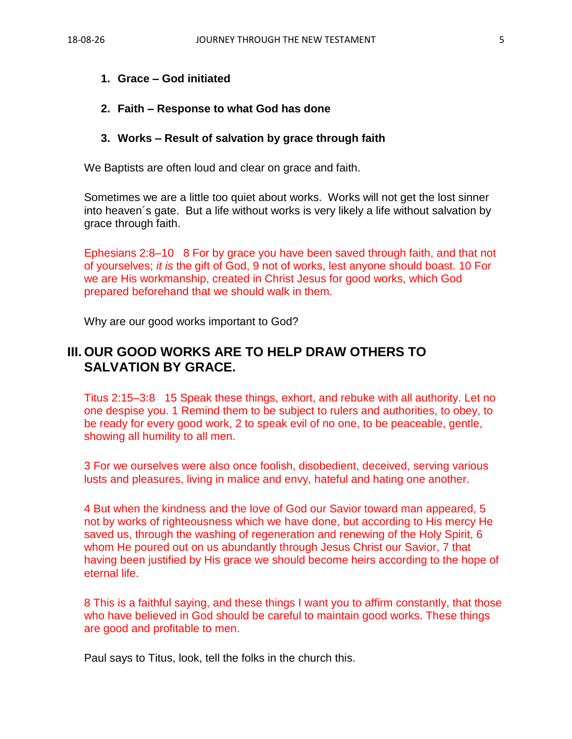## **1. Grace – God initiated**

#### **2. Faith – Response to what God has done**

#### **3. Works – Result of salvation by grace through faith**

We Baptists are often loud and clear on grace and faith.

Sometimes we are a little too quiet about works. Works will not get the lost sinner into heaven´s gate. But a life without works is very likely a life without salvation by grace through faith.

Ephesians 2:8–10 8 For by grace you have been saved through faith, and that not of yourselves; *it is* the gift of God, 9 not of works, lest anyone should boast. 10 For we are His workmanship, created in Christ Jesus for good works, which God prepared beforehand that we should walk in them.

Why are our good works important to God?

# **III. OUR GOOD WORKS ARE TO HELP DRAW OTHERS TO SALVATION BY GRACE.**

Titus 2:15–3:8 15 Speak these things, exhort, and rebuke with all authority. Let no one despise you. 1 Remind them to be subject to rulers and authorities, to obey, to be ready for every good work, 2 to speak evil of no one, to be peaceable, gentle, showing all humility to all men.

3 For we ourselves were also once foolish, disobedient, deceived, serving various lusts and pleasures, living in malice and envy, hateful and hating one another.

4 But when the kindness and the love of God our Savior toward man appeared, 5 not by works of righteousness which we have done, but according to His mercy He saved us, through the washing of regeneration and renewing of the Holy Spirit, 6 whom He poured out on us abundantly through Jesus Christ our Savior, 7 that having been justified by His grace we should become heirs according to the hope of eternal life.

8 This is a faithful saying, and these things I want you to affirm constantly, that those who have believed in God should be careful to maintain good works. These things are good and profitable to men.

Paul says to Titus, look, tell the folks in the church this.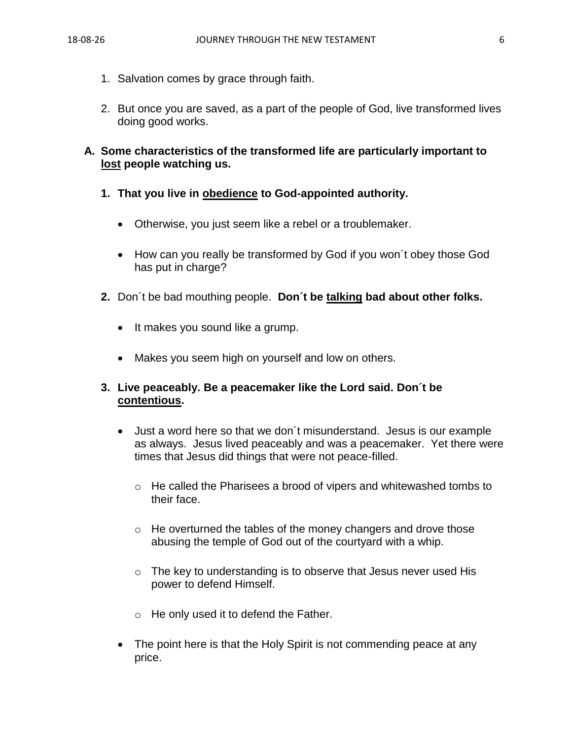- 1. Salvation comes by grace through faith.
- 2. But once you are saved, as a part of the people of God, live transformed lives doing good works.

# **A. Some characteristics of the transformed life are particularly important to lost people watching us.**

- **1. That you live in obedience to God-appointed authority.**
	- Otherwise, you just seem like a rebel or a troublemaker.
	- How can you really be transformed by God if you won't obey those God has put in charge?
- **2.** Don´t be bad mouthing people. **Don´t be talking bad about other folks.**
	- It makes you sound like a grump.
	- Makes you seem high on yourself and low on others.

## **3. Live peaceably. Be a peacemaker like the Lord said. Don´t be contentious.**

- Just a word here so that we don´t misunderstand. Jesus is our example as always. Jesus lived peaceably and was a peacemaker. Yet there were times that Jesus did things that were not peace-filled.
	- $\circ$  He called the Pharisees a brood of vipers and whitewashed tombs to their face.
	- o He overturned the tables of the money changers and drove those abusing the temple of God out of the courtyard with a whip.
	- o The key to understanding is to observe that Jesus never used His power to defend Himself.
	- o He only used it to defend the Father.
- The point here is that the Holy Spirit is not commending peace at any price.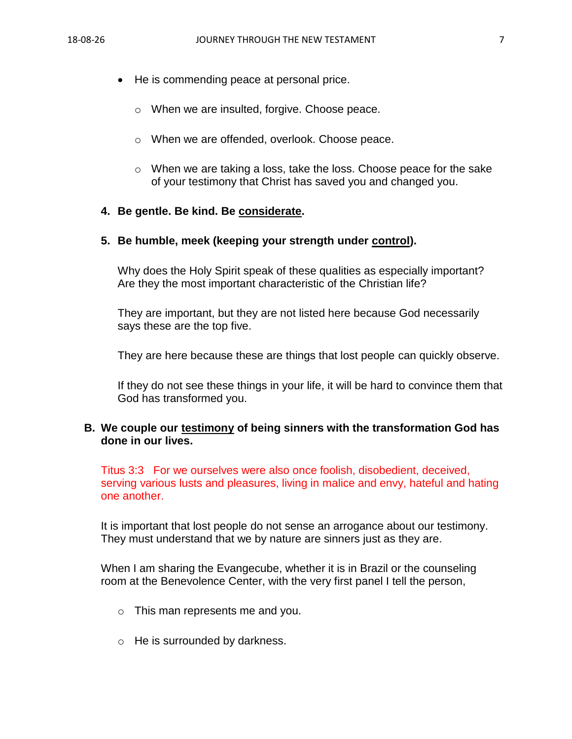- He is commending peace at personal price.
	- o When we are insulted, forgive. Choose peace.
	- o When we are offended, overlook. Choose peace.
	- o When we are taking a loss, take the loss. Choose peace for the sake of your testimony that Christ has saved you and changed you.

### **4. Be gentle. Be kind. Be considerate.**

### **5. Be humble, meek (keeping your strength under control).**

Why does the Holy Spirit speak of these qualities as especially important? Are they the most important characteristic of the Christian life?

They are important, but they are not listed here because God necessarily says these are the top five.

They are here because these are things that lost people can quickly observe.

If they do not see these things in your life, it will be hard to convince them that God has transformed you.

## **B. We couple our testimony of being sinners with the transformation God has done in our lives.**

Titus 3:3 For we ourselves were also once foolish, disobedient, deceived, serving various lusts and pleasures, living in malice and envy, hateful and hating one another.

It is important that lost people do not sense an arrogance about our testimony. They must understand that we by nature are sinners just as they are.

When I am sharing the Evangecube, whether it is in Brazil or the counseling room at the Benevolence Center, with the very first panel I tell the person,

- o This man represents me and you.
- o He is surrounded by darkness.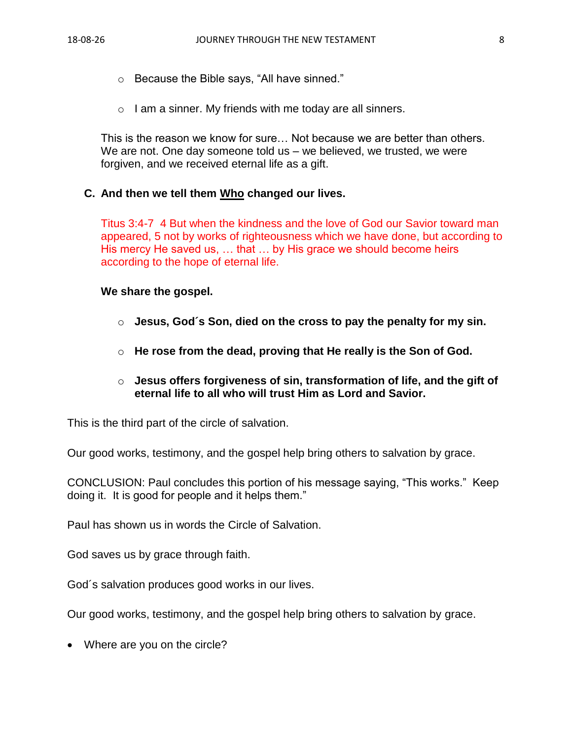- o Because the Bible says, "All have sinned."
- $\circ$  I am a sinner. My friends with me today are all sinners.

This is the reason we know for sure… Not because we are better than others. We are not. One day someone told us – we believed, we trusted, we were forgiven, and we received eternal life as a gift.

#### **C. And then we tell them Who changed our lives.**

Titus 3:4-7 4 But when the kindness and the love of God our Savior toward man appeared, 5 not by works of righteousness which we have done, but according to His mercy He saved us, … that … by His grace we should become heirs according to the hope of eternal life.

#### **We share the gospel.**

- o **Jesus, God´s Son, died on the cross to pay the penalty for my sin.**
- o **He rose from the dead, proving that He really is the Son of God.**
- o **Jesus offers forgiveness of sin, transformation of life, and the gift of eternal life to all who will trust Him as Lord and Savior.**

This is the third part of the circle of salvation.

Our good works, testimony, and the gospel help bring others to salvation by grace.

CONCLUSION: Paul concludes this portion of his message saying, "This works." Keep doing it. It is good for people and it helps them."

Paul has shown us in words the Circle of Salvation.

God saves us by grace through faith.

God´s salvation produces good works in our lives.

Our good works, testimony, and the gospel help bring others to salvation by grace.

• Where are you on the circle?